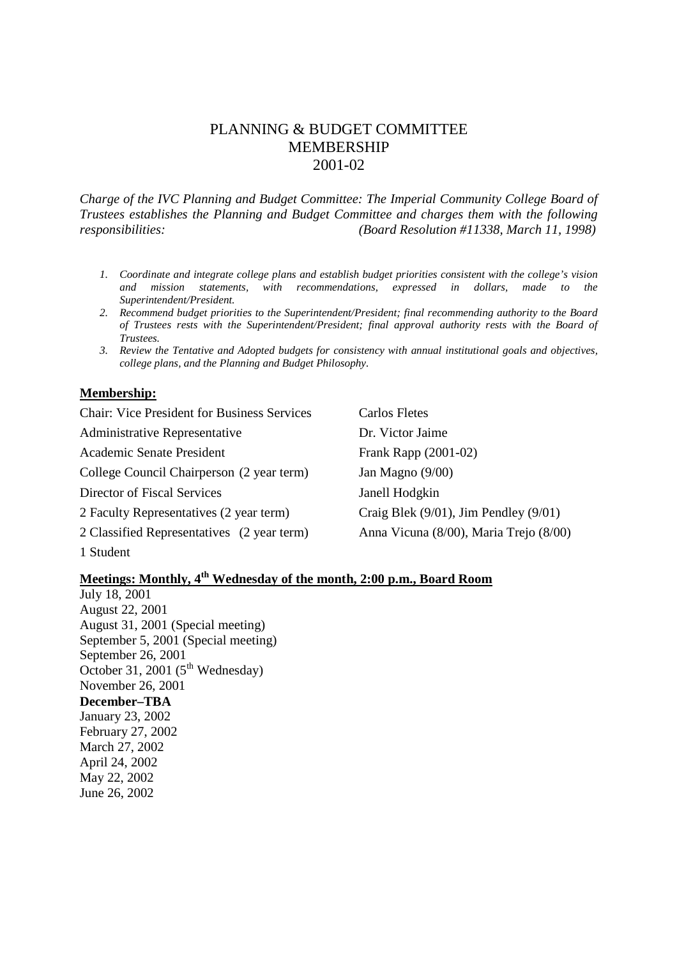# PLANNING & BUDGET COMMITTEE MEMBERSHIP 2001-02

*Charge of the IVC Planning and Budget Committee: The Imperial Community College Board of Trustees establishes the Planning and Budget Committee and charges them with the following responsibilities: (Board Resolution #11338, March 11, 1998)*

- *1. Coordinate and integrate college plans and establish budget priorities consistent with the college's vision and mission statements, with recommendations, expressed in dollars, made to the Superintendent/President.*
- *2. Recommend budget priorities to the Superintendent/President; final recommending authority to the Board of Trustees rests with the Superintendent/President; final approval authority rests with the Board of Trustees.*
- *3. Review the Tentative and Adopted budgets for consistency with annual institutional goals and objectives, college plans, and the Planning and Budget Philosophy.*

## **Membership:**

Chair: Vice President for Business Services Carlos Fletes Administrative Representative **Dr.** Victor Jaime Academic Senate President Frank Rapp (2001-02) College Council Chairperson (2 year term) Jan Magno (9/00) Director of Fiscal Services Janell Hodgkin 2 Faculty Representatives (2 year term) Craig Blek (9/01), Jim Pendley (9/01) 2 Classified Representatives (2 year term) Anna Vicuna (8/00), Maria Trejo (8/00) 1 Student

## **Meetings: Monthly, 4th Wednesday of the month, 2:00 p.m., Board Room**

July 18, 2001 August 22, 2001 August 31, 2001 (Special meeting) September 5, 2001 (Special meeting) September 26, 2001 October 31, 2001 ( $5<sup>th</sup>$  Wednesday) November 26, 2001 **December–TBA** January 23, 2002 February 27, 2002 March 27, 2002 April 24, 2002 May 22, 2002 June 26, 2002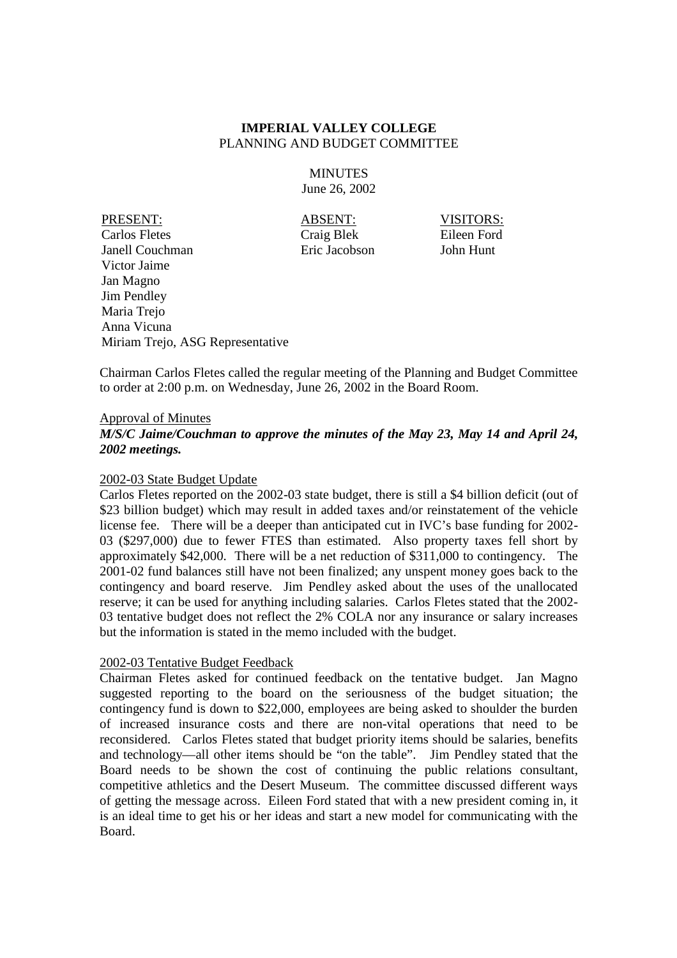**MINUTES** June 26, 2002

PRESENT: ABSENT: VISITORS: Carlos Fletes Craig Blek Eileen Ford Janell Couchman Eric Jacobson John Hunt Victor Jaime Jan Magno Jim Pendley Maria Trejo Anna Vicuna Miriam Trejo, ASG Representative

Chairman Carlos Fletes called the regular meeting of the Planning and Budget Committee to order at 2:00 p.m. on Wednesday, June 26, 2002 in the Board Room.

#### Approval of Minutes

*M/S/C Jaime/Couchman to approve the minutes of the May 23, May 14 and April 24, 2002 meetings.*

#### 2002-03 State Budget Update

Carlos Fletes reported on the 2002-03 state budget, there is still a \$4 billion deficit (out of \$23 billion budget) which may result in added taxes and/or reinstatement of the vehicle license fee. There will be a deeper than anticipated cut in IVC's base funding for 2002- 03 (\$297,000) due to fewer FTES than estimated. Also property taxes fell short by approximately \$42,000. There will be a net reduction of \$311,000 to contingency. The 2001-02 fund balances still have not been finalized; any unspent money goes back to the contingency and board reserve. Jim Pendley asked about the uses of the unallocated reserve; it can be used for anything including salaries. Carlos Fletes stated that the 2002- 03 tentative budget does not reflect the 2% COLA nor any insurance or salary increases but the information is stated in the memo included with the budget.

#### 2002-03 Tentative Budget Feedback

Chairman Fletes asked for continued feedback on the tentative budget. Jan Magno suggested reporting to the board on the seriousness of the budget situation; the contingency fund is down to \$22,000, employees are being asked to shoulder the burden of increased insurance costs and there are non-vital operations that need to be reconsidered. Carlos Fletes stated that budget priority items should be salaries, benefits and technology—all other items should be "on the table". Jim Pendley stated that the Board needs to be shown the cost of continuing the public relations consultant, competitive athletics and the Desert Museum. The committee discussed different ways of getting the message across. Eileen Ford stated that with a new president coming in, it is an ideal time to get his or her ideas and start a new model for communicating with the Board.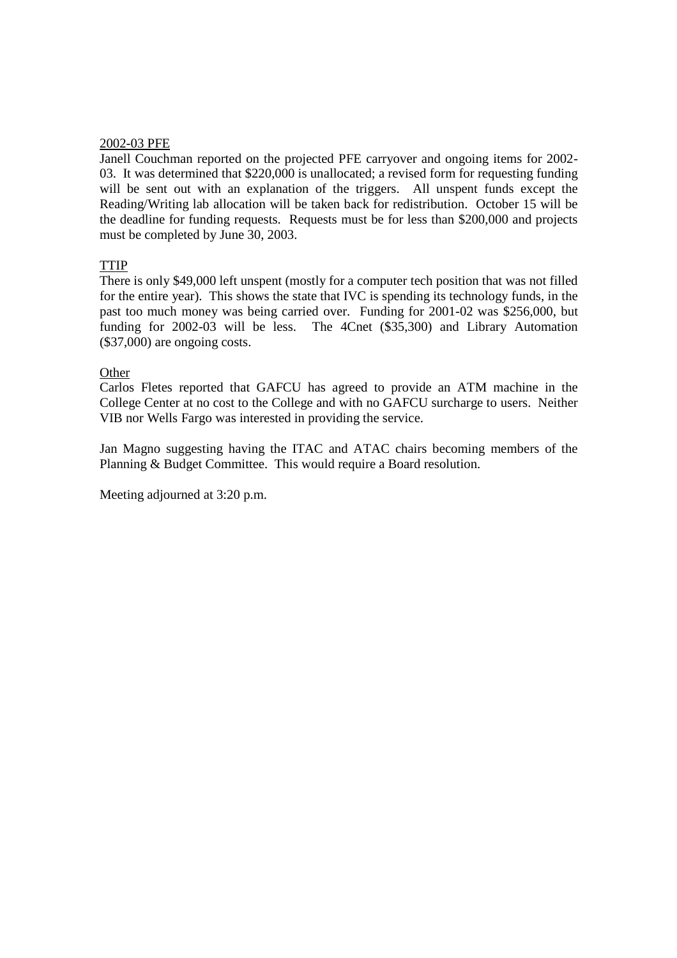#### 2002-03 PFE

Janell Couchman reported on the projected PFE carryover and ongoing items for 2002- 03. It was determined that \$220,000 is unallocated; a revised form for requesting funding will be sent out with an explanation of the triggers. All unspent funds except the Reading/Writing lab allocation will be taken back for redistribution. October 15 will be the deadline for funding requests. Requests must be for less than \$200,000 and projects must be completed by June 30, 2003.

## **TTIP**

There is only \$49,000 left unspent (mostly for a computer tech position that was not filled for the entire year). This shows the state that IVC is spending its technology funds, in the past too much money was being carried over. Funding for 2001-02 was \$256,000, but funding for 2002-03 will be less. The 4Cnet (\$35,300) and Library Automation (\$37,000) are ongoing costs.

## **Other**

Carlos Fletes reported that GAFCU has agreed to provide an ATM machine in the College Center at no cost to the College and with no GAFCU surcharge to users. Neither VIB nor Wells Fargo was interested in providing the service.

Jan Magno suggesting having the ITAC and ATAC chairs becoming members of the Planning & Budget Committee. This would require a Board resolution.

Meeting adjourned at 3:20 p.m.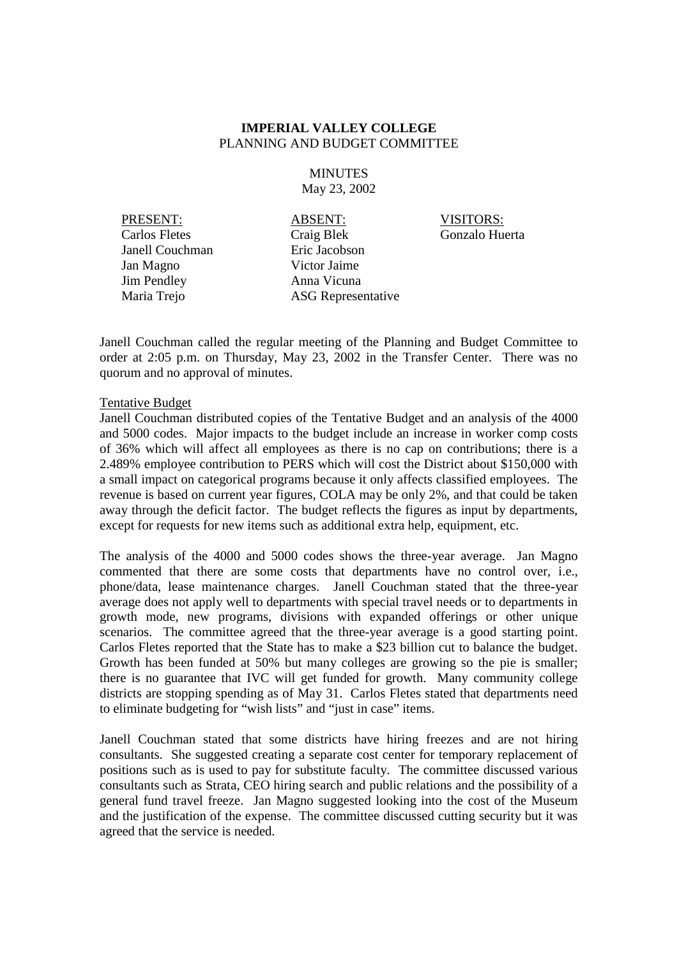## **MINUTES** May 23, 2002

Janell Couchman Eric Jacobson Jan Magno Victor Jaime Jim Pendley Anna Vicuna

PRESENT: ABSENT: VISITORS: Carlos Fletes Craig Blek Gonzalo Huerta Maria Trejo **ASG** Representative

Janell Couchman called the regular meeting of the Planning and Budget Committee to order at 2:05 p.m. on Thursday, May 23, 2002 in the Transfer Center. There was no quorum and no approval of minutes.

## Tentative Budget

Janell Couchman distributed copies of the Tentative Budget and an analysis of the 4000 and 5000 codes. Major impacts to the budget include an increase in worker comp costs of 36% which will affect all employees as there is no cap on contributions; there is a 2.489% employee contribution to PERS which will cost the District about \$150,000 with a small impact on categorical programs because it only affects classified employees. The revenue is based on current year figures, COLA may be only 2%, and that could be taken away through the deficit factor. The budget reflects the figures as input by departments, except for requests for new items such as additional extra help, equipment, etc.

The analysis of the 4000 and 5000 codes shows the three-year average. Jan Magno commented that there are some costs that departments have no control over, i.e., phone/data, lease maintenance charges. Janell Couchman stated that the three-year average does not apply well to departments with special travel needs or to departments in growth mode, new programs, divisions with expanded offerings or other unique scenarios. The committee agreed that the three-year average is a good starting point. Carlos Fletes reported that the State has to make a \$23 billion cut to balance the budget. Growth has been funded at 50% but many colleges are growing so the pie is smaller; there is no guarantee that IVC will get funded for growth. Many community college districts are stopping spending as of May 31. Carlos Fletes stated that departments need to eliminate budgeting for "wish lists" and "just in case" items.

Janell Couchman stated that some districts have hiring freezes and are not hiring consultants. She suggested creating a separate cost center for temporary replacement of positions such as is used to pay for substitute faculty. The committee discussed various consultants such as Strata, CEO hiring search and public relations and the possibility of a general fund travel freeze. Jan Magno suggested looking into the cost of the Museum and the justification of the expense. The committee discussed cutting security but it was agreed that the service is needed.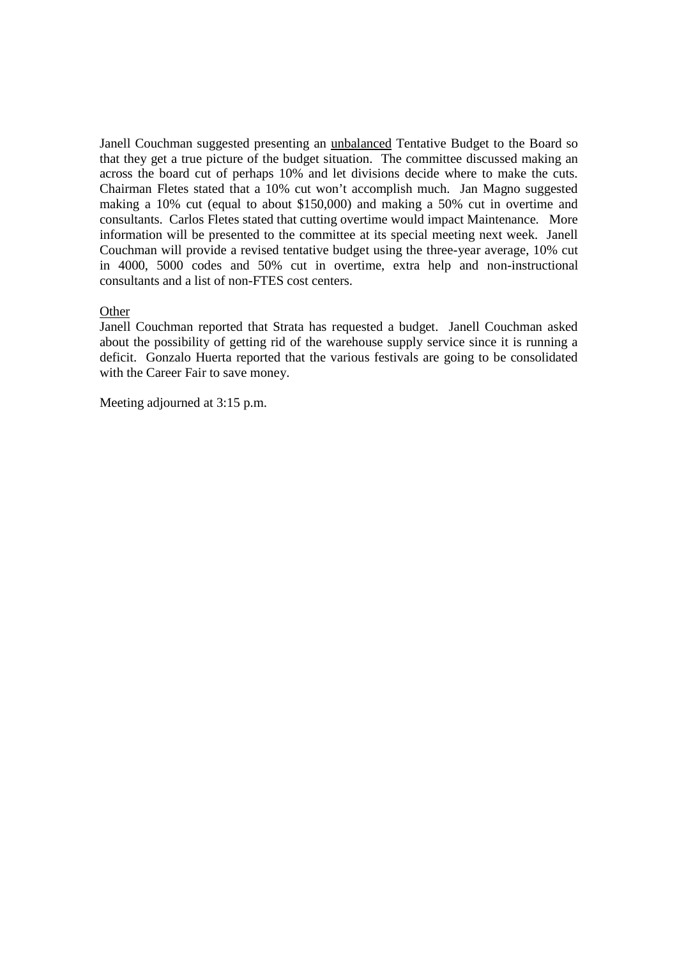Janell Couchman suggested presenting an unbalanced Tentative Budget to the Board so that they get a true picture of the budget situation. The committee discussed making an across the board cut of perhaps 10% and let divisions decide where to make the cuts. Chairman Fletes stated that a 10% cut won't accomplish much. Jan Magno suggested making a 10% cut (equal to about \$150,000) and making a 50% cut in overtime and consultants. Carlos Fletes stated that cutting overtime would impact Maintenance. More information will be presented to the committee at its special meeting next week. Janell Couchman will provide a revised tentative budget using the three-year average, 10% cut in 4000, 5000 codes and 50% cut in overtime, extra help and non-instructional consultants and a list of non-FTES cost centers.

## **Other**

Janell Couchman reported that Strata has requested a budget. Janell Couchman asked about the possibility of getting rid of the warehouse supply service since it is running a deficit. Gonzalo Huerta reported that the various festivals are going to be consolidated with the Career Fair to save money.

Meeting adjourned at 3:15 p.m.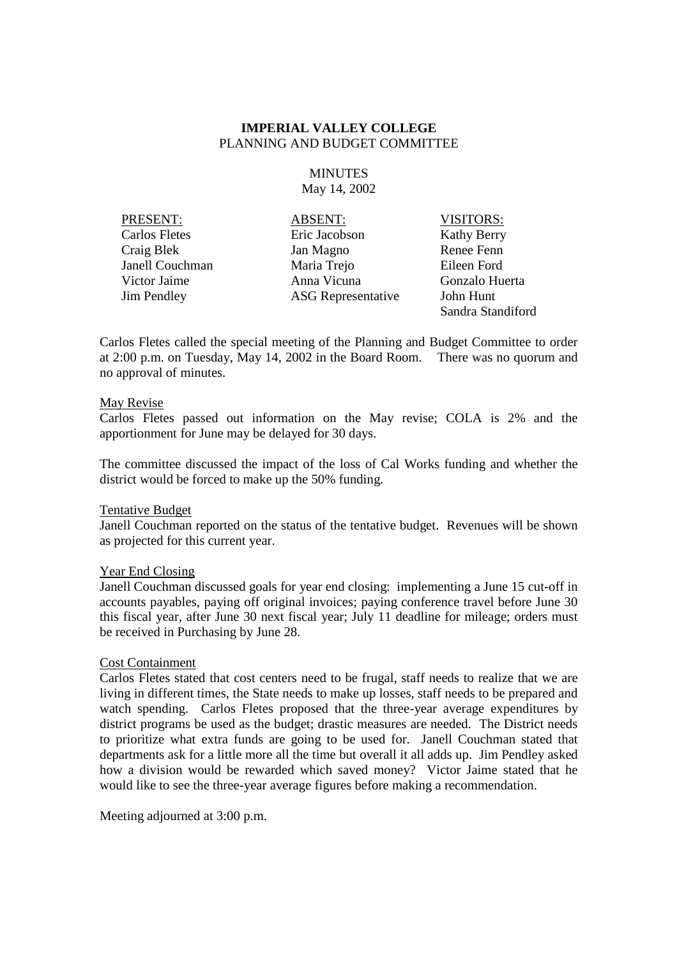## **MINUTES** May 14, 2002

PRESENT: ABSENT: VISITORS: Carlos Fletes Eric Jacobson Kathy Berry Craig Blek Jan Magno Renee Fenn Janell Couchman Maria Trejo Eileen Ford Victor Jaime Anna Vicuna Gonzalo Huerta Jim Pendley ASG Representative John Hunt

Sandra Standiford

Carlos Fletes called the special meeting of the Planning and Budget Committee to order at 2:00 p.m. on Tuesday, May 14, 2002 in the Board Room. There was no quorum and no approval of minutes.

#### May Revise

Carlos Fletes passed out information on the May revise; COLA is 2% and the apportionment for June may be delayed for 30 days.

The committee discussed the impact of the loss of Cal Works funding and whether the district would be forced to make up the 50% funding.

#### Tentative Budget

Janell Couchman reported on the status of the tentative budget. Revenues will be shown as projected for this current year.

#### Year End Closing

Janell Couchman discussed goals for year end closing: implementing a June 15 cut-off in accounts payables, paying off original invoices; paying conference travel before June 30 this fiscal year, after June 30 next fiscal year; July 11 deadline for mileage; orders must be received in Purchasing by June 28.

#### Cost Containment

Carlos Fletes stated that cost centers need to be frugal, staff needs to realize that we are living in different times, the State needs to make up losses, staff needs to be prepared and watch spending. Carlos Fletes proposed that the three-year average expenditures by district programs be used as the budget; drastic measures are needed. The District needs to prioritize what extra funds are going to be used for. Janell Couchman stated that departments ask for a little more all the time but overall it all adds up. Jim Pendley asked how a division would be rewarded which saved money? Victor Jaime stated that he would like to see the three-year average figures before making a recommendation.

Meeting adjourned at 3:00 p.m.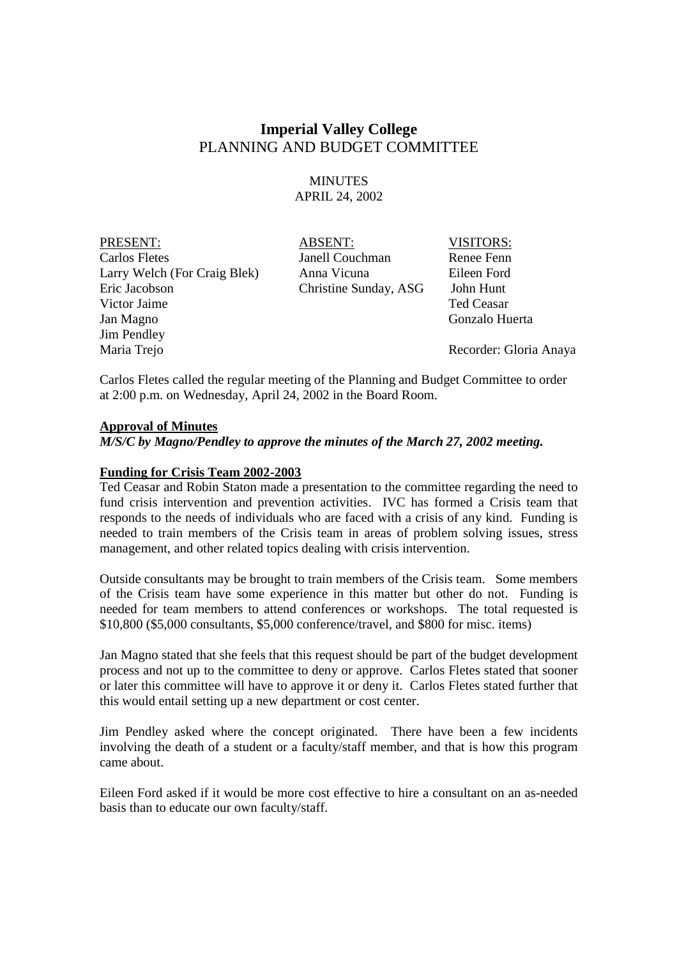# **Imperial Valley College** PLANNING AND BUDGET COMMITTEE

## **MINUTES** APRIL 24, 2002

PRESENT: ABSENT: VISITORS: Carlos Fletes Janell Couchman Renee Fenn Larry Welch (For Craig Blek) Anna Vicuna Eileen Ford Eric Jacobson Christine Sunday, ASG John Hunt Victor Jaime **Ted Ceasar** Jan Magno Gonzalo Huerta Jim Pendley

Maria Trejo Recorder: Gloria Anaya

Carlos Fletes called the regular meeting of the Planning and Budget Committee to order at 2:00 p.m. on Wednesday, April 24, 2002 in the Board Room.

## **Approval of Minutes**

*M/S/C by Magno/Pendley to approve the minutes of the March 27, 2002 meeting.*

#### **Funding for Crisis Team 2002-2003**

Ted Ceasar and Robin Staton made a presentation to the committee regarding the need to fund crisis intervention and prevention activities. IVC has formed a Crisis team that responds to the needs of individuals who are faced with a crisis of any kind. Funding is needed to train members of the Crisis team in areas of problem solving issues, stress management, and other related topics dealing with crisis intervention.

Outside consultants may be brought to train members of the Crisis team. Some members of the Crisis team have some experience in this matter but other do not. Funding is needed for team members to attend conferences or workshops. The total requested is \$10,800 (\$5,000 consultants, \$5,000 conference/travel, and \$800 for misc. items)

Jan Magno stated that she feels that this request should be part of the budget development process and not up to the committee to deny or approve. Carlos Fletes stated that sooner or later this committee will have to approve it or deny it. Carlos Fletes stated further that this would entail setting up a new department or cost center.

Jim Pendley asked where the concept originated. There have been a few incidents involving the death of a student or a faculty/staff member, and that is how this program came about.

Eileen Ford asked if it would be more cost effective to hire a consultant on an as-needed basis than to educate our own faculty/staff.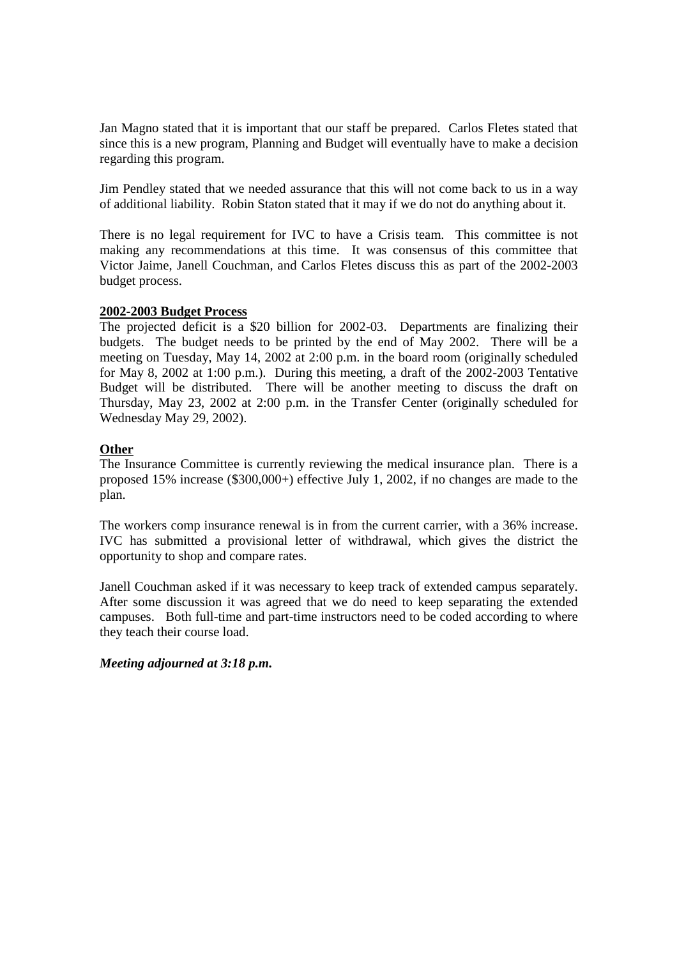Jan Magno stated that it is important that our staff be prepared. Carlos Fletes stated that since this is a new program, Planning and Budget will eventually have to make a decision regarding this program.

Jim Pendley stated that we needed assurance that this will not come back to us in a way of additional liability. Robin Staton stated that it may if we do not do anything about it.

There is no legal requirement for IVC to have a Crisis team. This committee is not making any recommendations at this time. It was consensus of this committee that Victor Jaime, Janell Couchman, and Carlos Fletes discuss this as part of the 2002-2003 budget process.

## **2002-2003 Budget Process**

The projected deficit is a \$20 billion for 2002-03. Departments are finalizing their budgets. The budget needs to be printed by the end of May 2002. There will be a meeting on Tuesday, May 14, 2002 at 2:00 p.m. in the board room (originally scheduled for May 8, 2002 at 1:00 p.m.). During this meeting, a draft of the 2002-2003 Tentative Budget will be distributed. There will be another meeting to discuss the draft on Thursday, May 23, 2002 at 2:00 p.m. in the Transfer Center (originally scheduled for Wednesday May 29, 2002).

## **Other**

The Insurance Committee is currently reviewing the medical insurance plan. There is a proposed 15% increase (\$300,000+) effective July 1, 2002, if no changes are made to the plan.

The workers comp insurance renewal is in from the current carrier, with a 36% increase. IVC has submitted a provisional letter of withdrawal, which gives the district the opportunity to shop and compare rates.

Janell Couchman asked if it was necessary to keep track of extended campus separately. After some discussion it was agreed that we do need to keep separating the extended campuses. Both full-time and part-time instructors need to be coded according to where they teach their course load.

## *Meeting adjourned at 3:18 p.m.*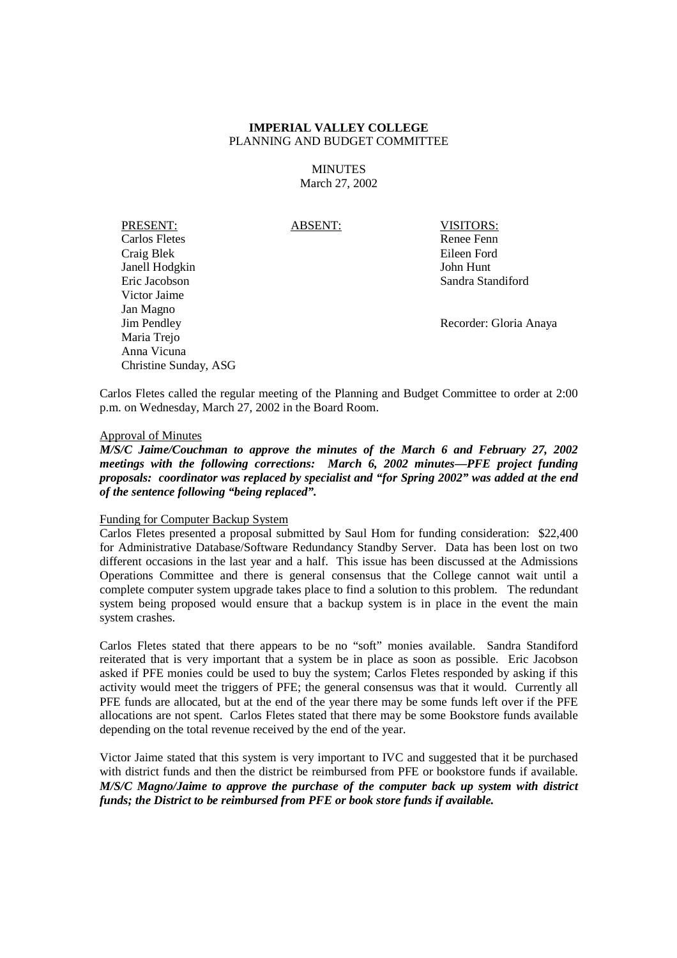**MINUTES** March 27, 2002

PRESENT: ABSENT: VISITORS: Carlos Fletes Renee Fenn Craig Blek Eileen Ford Janell Hodgkin John Hunt Eric Jacobson Sandra Standiford Victor Jaime Jan Magno Jim Pendley Recorder: Gloria Anaya Maria Trejo Anna Vicuna Christine Sunday, ASG

Carlos Fletes called the regular meeting of the Planning and Budget Committee to order at 2:00 p.m. on Wednesday, March 27, 2002 in the Board Room.

## Approval of Minutes

*M/S/C Jaime/Couchman to approve the minutes of the March 6 and February 27, 2002 meetings with the following corrections: March 6, 2002 minutes—PFE project funding proposals: coordinator was replaced by specialist and "for Spring 2002" was added at the end of the sentence following "being replaced".*

#### Funding for Computer Backup System

Carlos Fletes presented a proposal submitted by Saul Hom for funding consideration: \$22,400 for Administrative Database/Software Redundancy Standby Server. Data has been lost on two different occasions in the last year and a half. This issue has been discussed at the Admissions Operations Committee and there is general consensus that the College cannot wait until a complete computer system upgrade takes place to find a solution to this problem. The redundant system being proposed would ensure that a backup system is in place in the event the main system crashes.

Carlos Fletes stated that there appears to be no "soft" monies available. Sandra Standiford reiterated that is very important that a system be in place as soon as possible. Eric Jacobson asked if PFE monies could be used to buy the system; Carlos Fletes responded by asking if this activity would meet the triggers of PFE; the general consensus was that it would. Currently all PFE funds are allocated, but at the end of the year there may be some funds left over if the PFE allocations are not spent. Carlos Fletes stated that there may be some Bookstore funds available depending on the total revenue received by the end of the year.

Victor Jaime stated that this system is very important to IVC and suggested that it be purchased with district funds and then the district be reimbursed from PFE or bookstore funds if available. *M/S/C Magno/Jaime to approve the purchase of the computer back up system with district funds; the District to be reimbursed from PFE or book store funds if available.*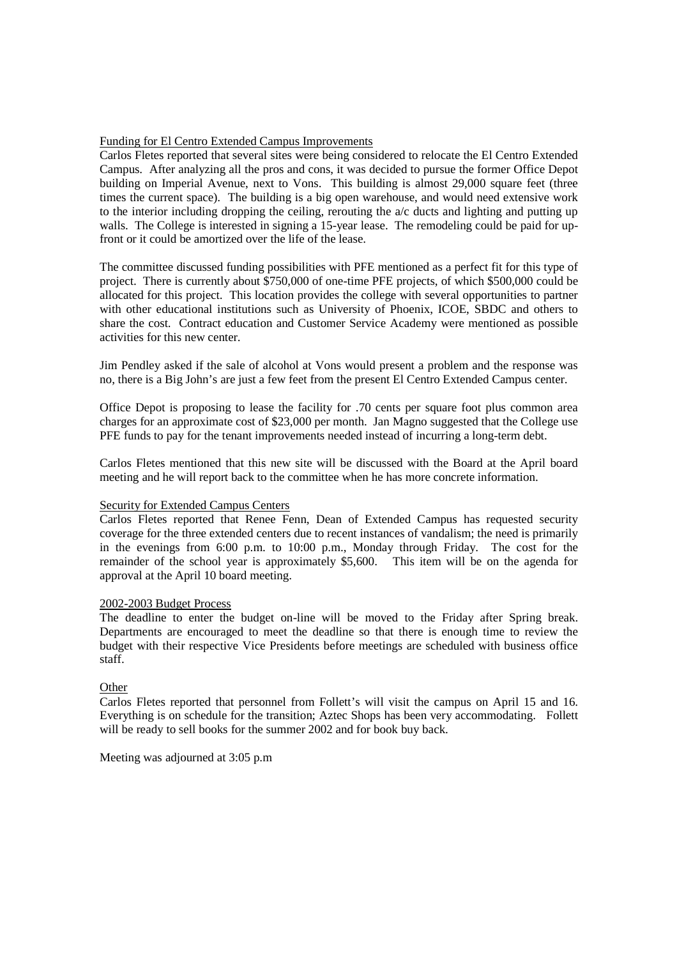#### Funding for El Centro Extended Campus Improvements

Carlos Fletes reported that several sites were being considered to relocate the El Centro Extended Campus. After analyzing all the pros and cons, it was decided to pursue the former Office Depot building on Imperial Avenue, next to Vons. This building is almost 29,000 square feet (three times the current space). The building is a big open warehouse, and would need extensive work to the interior including dropping the ceiling, rerouting the  $a/c$  ducts and lighting and putting up walls. The College is interested in signing a 15-year lease. The remodeling could be paid for upfront or it could be amortized over the life of the lease.

The committee discussed funding possibilities with PFE mentioned as a perfect fit for this type of project. There is currently about \$750,000 of one-time PFE projects, of which \$500,000 could be allocated for this project. This location provides the college with several opportunities to partner with other educational institutions such as University of Phoenix, ICOE, SBDC and others to share the cost. Contract education and Customer Service Academy were mentioned as possible activities for this new center.

Jim Pendley asked if the sale of alcohol at Vons would present a problem and the response was no, there is a Big John's are just a few feet from the present El Centro Extended Campus center.

Office Depot is proposing to lease the facility for .70 cents per square foot plus common area charges for an approximate cost of \$23,000 per month. Jan Magno suggested that the College use PFE funds to pay for the tenant improvements needed instead of incurring a long-term debt.

Carlos Fletes mentioned that this new site will be discussed with the Board at the April board meeting and he will report back to the committee when he has more concrete information.

#### Security for Extended Campus Centers

Carlos Fletes reported that Renee Fenn, Dean of Extended Campus has requested security coverage for the three extended centers due to recent instances of vandalism; the need is primarily in the evenings from 6:00 p.m. to 10:00 p.m., Monday through Friday. The cost for the remainder of the school year is approximately \$5,600. This item will be on the agenda for approval at the April 10 board meeting.

#### 2002-2003 Budget Process

The deadline to enter the budget on-line will be moved to the Friday after Spring break. Departments are encouraged to meet the deadline so that there is enough time to review the budget with their respective Vice Presidents before meetings are scheduled with business office staff.

#### **Other**

Carlos Fletes reported that personnel from Follett's will visit the campus on April 15 and 16. Everything is on schedule for the transition; Aztec Shops has been very accommodating. Follett will be ready to sell books for the summer 2002 and for book buy back.

Meeting was adjourned at 3:05 p.m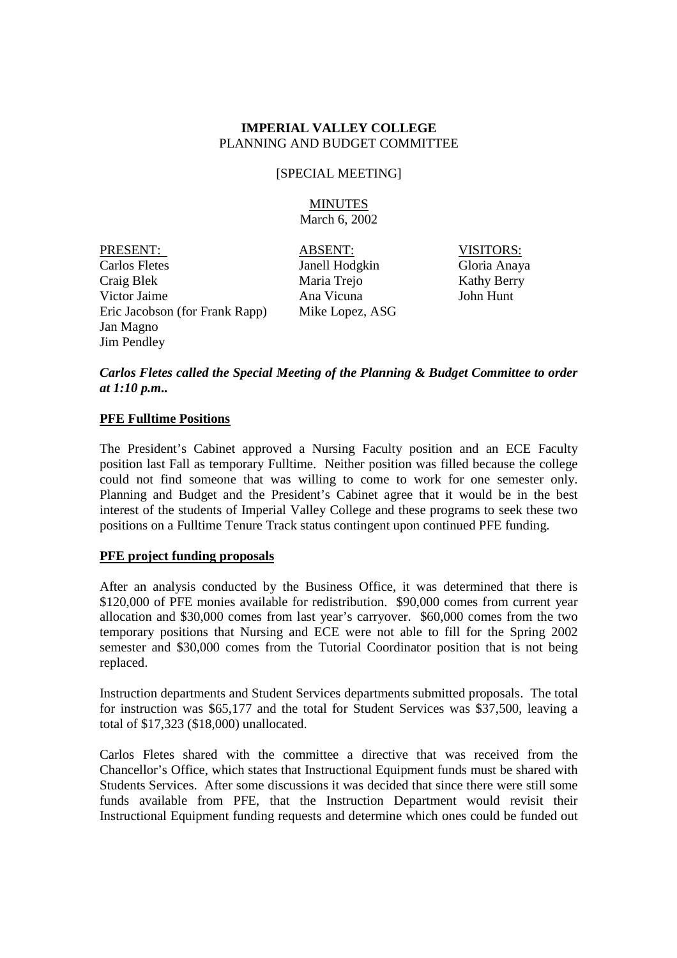## [SPECIAL MEETING]

## MINUTES March 6, 2002

PRESENT: ABSENT: VISITORS: Carlos Fletes Janell Hodgkin Gloria Anaya Craig Blek Maria Trejo Kathy Berry Victor Jaime Ana Vicuna John Hunt Eric Jacobson (for Frank Rapp) Mike Lopez, ASG Jan Magno Jim Pendley

## *Carlos Fletes called the Special Meeting of the Planning & Budget Committee to order at 1:10 p.m..*

## **PFE Fulltime Positions**

The President's Cabinet approved a Nursing Faculty position and an ECE Faculty position last Fall as temporary Fulltime. Neither position was filled because the college could not find someone that was willing to come to work for one semester only. Planning and Budget and the President's Cabinet agree that it would be in the best interest of the students of Imperial Valley College and these programs to seek these two positions on a Fulltime Tenure Track status contingent upon continued PFE funding.

## **PFE project funding proposals**

After an analysis conducted by the Business Office, it was determined that there is \$120,000 of PFE monies available for redistribution. \$90,000 comes from current year allocation and \$30,000 comes from last year's carryover. \$60,000 comes from the two temporary positions that Nursing and ECE were not able to fill for the Spring 2002 semester and \$30,000 comes from the Tutorial Coordinator position that is not being replaced.

Instruction departments and Student Services departments submitted proposals. The total for instruction was \$65,177 and the total for Student Services was \$37,500, leaving a total of \$17,323 (\$18,000) unallocated.

Carlos Fletes shared with the committee a directive that was received from the Chancellor's Office, which states that Instructional Equipment funds must be shared with Students Services. After some discussions it was decided that since there were still some funds available from PFE, that the Instruction Department would revisit their Instructional Equipment funding requests and determine which ones could be funded out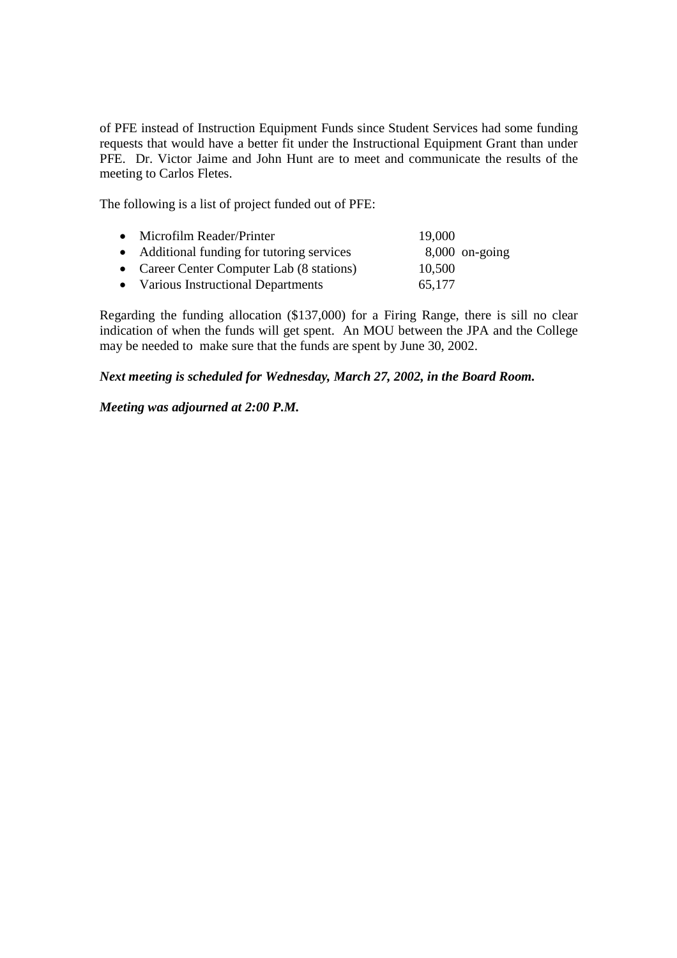of PFE instead of Instruction Equipment Funds since Student Services had some funding requests that would have a better fit under the Instructional Equipment Grant than under PFE. Dr. Victor Jaime and John Hunt are to meet and communicate the results of the meeting to Carlos Fletes.

The following is a list of project funded out of PFE:

| • Microfilm Reader/Printer                 | 19,000           |  |
|--------------------------------------------|------------------|--|
| • Additional funding for tutoring services | $8,000$ on-going |  |
| • Career Center Computer Lab (8 stations)  | 10,500           |  |
| • Various Instructional Departments        | 65,177           |  |

Regarding the funding allocation (\$137,000) for a Firing Range, there is sill no clear indication of when the funds will get spent. An MOU between the JPA and the College may be needed to make sure that the funds are spent by June 30, 2002.

*Next meeting is scheduled for Wednesday, March 27, 2002, in the Board Room.*

## *Meeting was adjourned at 2:00 P.M.*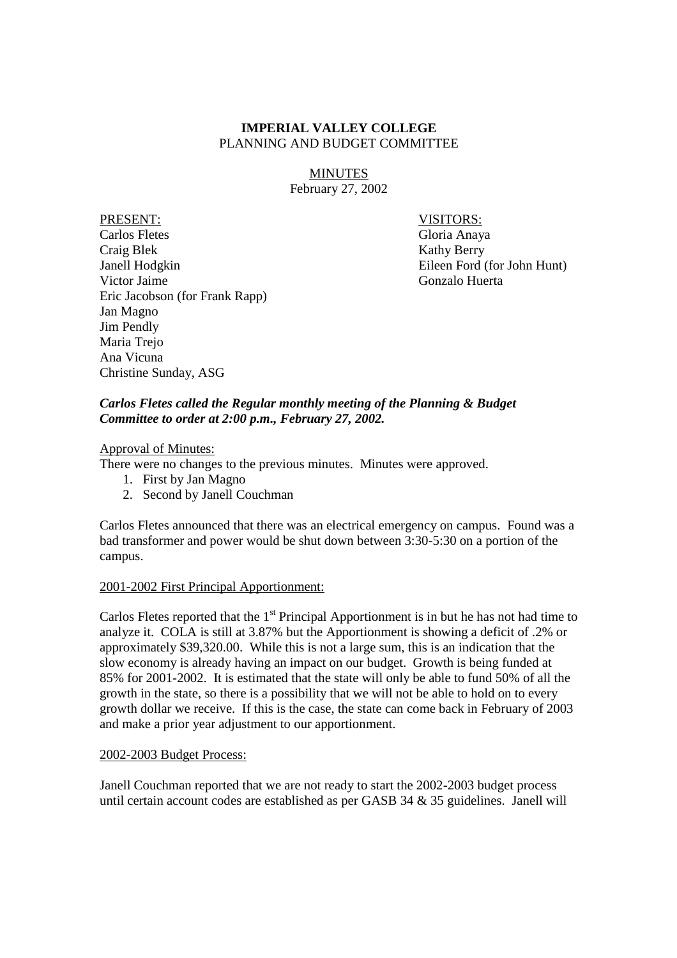MINUTES February 27, 2002

PRESENT: VISITORS: Carlos Fletes Gloria Anaya Craig Blek Kathy Berry Janell Hodgkin Eileen Ford (for John Hunt) Victor Jaime Gonzalo Huerta Eric Jacobson (for Frank Rapp) Jan Magno Jim Pendly Maria Trejo Ana Vicuna Christine Sunday, ASG

## *Carlos Fletes called the Regular monthly meeting of the Planning & Budget Committee to order at 2:00 p.m., February 27, 2002.*

## Approval of Minutes:

There were no changes to the previous minutes. Minutes were approved.

- 1. First by Jan Magno
- 2. Second by Janell Couchman

Carlos Fletes announced that there was an electrical emergency on campus. Found was a bad transformer and power would be shut down between 3:30-5:30 on a portion of the campus.

## 2001-2002 First Principal Apportionment:

Carlos Fletes reported that the  $1<sup>st</sup>$  Principal Apportionment is in but he has not had time to analyze it. COLA is still at 3.87% but the Apportionment is showing a deficit of .2% or approximately \$39,320.00. While this is not a large sum, this is an indication that the slow economy is already having an impact on our budget. Growth is being funded at 85% for 2001-2002. It is estimated that the state will only be able to fund 50% of all the growth in the state, so there is a possibility that we will not be able to hold on to every growth dollar we receive. If this is the case, the state can come back in February of 2003 and make a prior year adjustment to our apportionment.

#### 2002-2003 Budget Process:

Janell Couchman reported that we are not ready to start the 2002-2003 budget process until certain account codes are established as per GASB 34 & 35 guidelines. Janell will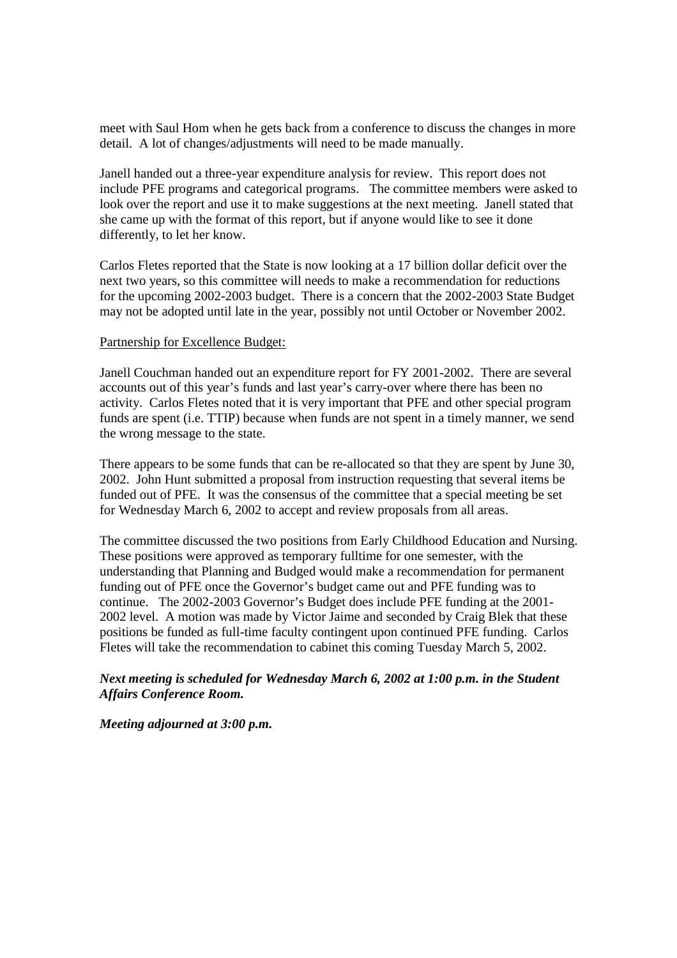meet with Saul Hom when he gets back from a conference to discuss the changes in more detail. A lot of changes/adjustments will need to be made manually.

Janell handed out a three-year expenditure analysis for review. This report does not include PFE programs and categorical programs. The committee members were asked to look over the report and use it to make suggestions at the next meeting. Janell stated that she came up with the format of this report, but if anyone would like to see it done differently, to let her know.

Carlos Fletes reported that the State is now looking at a 17 billion dollar deficit over the next two years, so this committee will needs to make a recommendation for reductions for the upcoming 2002-2003 budget. There is a concern that the 2002-2003 State Budget may not be adopted until late in the year, possibly not until October or November 2002.

#### Partnership for Excellence Budget:

Janell Couchman handed out an expenditure report for FY 2001-2002. There are several accounts out of this year's funds and last year's carry-over where there has been no activity. Carlos Fletes noted that it is very important that PFE and other special program funds are spent (i.e. TTIP) because when funds are not spent in a timely manner, we send the wrong message to the state.

There appears to be some funds that can be re-allocated so that they are spent by June 30, 2002. John Hunt submitted a proposal from instruction requesting that several items be funded out of PFE. It was the consensus of the committee that a special meeting be set for Wednesday March 6, 2002 to accept and review proposals from all areas.

The committee discussed the two positions from Early Childhood Education and Nursing. These positions were approved as temporary fulltime for one semester, with the understanding that Planning and Budged would make a recommendation for permanent funding out of PFE once the Governor's budget came out and PFE funding was to continue. The 2002-2003 Governor's Budget does include PFE funding at the 2001- 2002 level. A motion was made by Victor Jaime and seconded by Craig Blek that these positions be funded as full-time faculty contingent upon continued PFE funding. Carlos Fletes will take the recommendation to cabinet this coming Tuesday March 5, 2002.

## *Next meeting is scheduled for Wednesday March 6, 2002 at 1:00 p.m. in the Student Affairs Conference Room.*

*Meeting adjourned at 3:00 p.m.*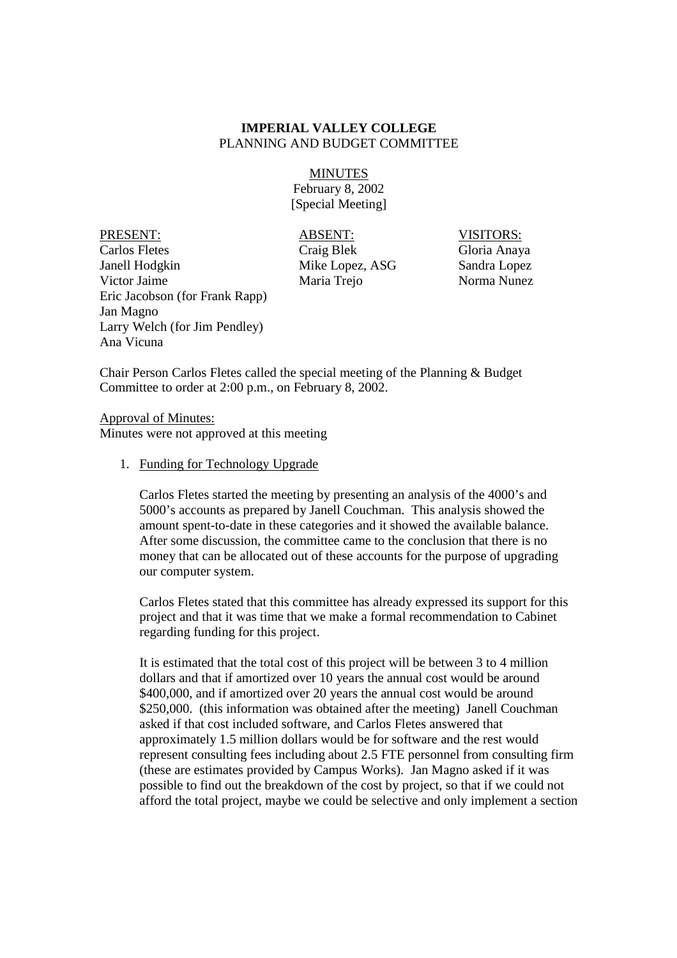#### MINUTES

February 8, 2002 [Special Meeting]

PRESENT: ABSENT: VISITORS: Carlos Fletes Craig Blek Gloria Anaya Janell Hodgkin Mike Lopez, ASG Sandra Lopez Victor Jaime Maria Trejo Norma Nunez Eric Jacobson (for Frank Rapp) Jan Magno Larry Welch (for Jim Pendley) Ana Vicuna

Chair Person Carlos Fletes called the special meeting of the Planning & Budget Committee to order at 2:00 p.m., on February 8, 2002.

Approval of Minutes: Minutes were not approved at this meeting

#### 1. Funding for Technology Upgrade

Carlos Fletes started the meeting by presenting an analysis of the 4000's and 5000's accounts as prepared by Janell Couchman. This analysis showed the amount spent-to-date in these categories and it showed the available balance. After some discussion, the committee came to the conclusion that there is no money that can be allocated out of these accounts for the purpose of upgrading our computer system.

Carlos Fletes stated that this committee has already expressed its support for this project and that it was time that we make a formal recommendation to Cabinet regarding funding for this project.

It is estimated that the total cost of this project will be between 3 to 4 million dollars and that if amortized over 10 years the annual cost would be around \$400,000, and if amortized over 20 years the annual cost would be around \$250,000. (this information was obtained after the meeting) Janell Couchman asked if that cost included software, and Carlos Fletes answered that approximately 1.5 million dollars would be for software and the rest would represent consulting fees including about 2.5 FTE personnel from consulting firm (these are estimates provided by Campus Works). Jan Magno asked if it was possible to find out the breakdown of the cost by project, so that if we could not afford the total project, maybe we could be selective and only implement a section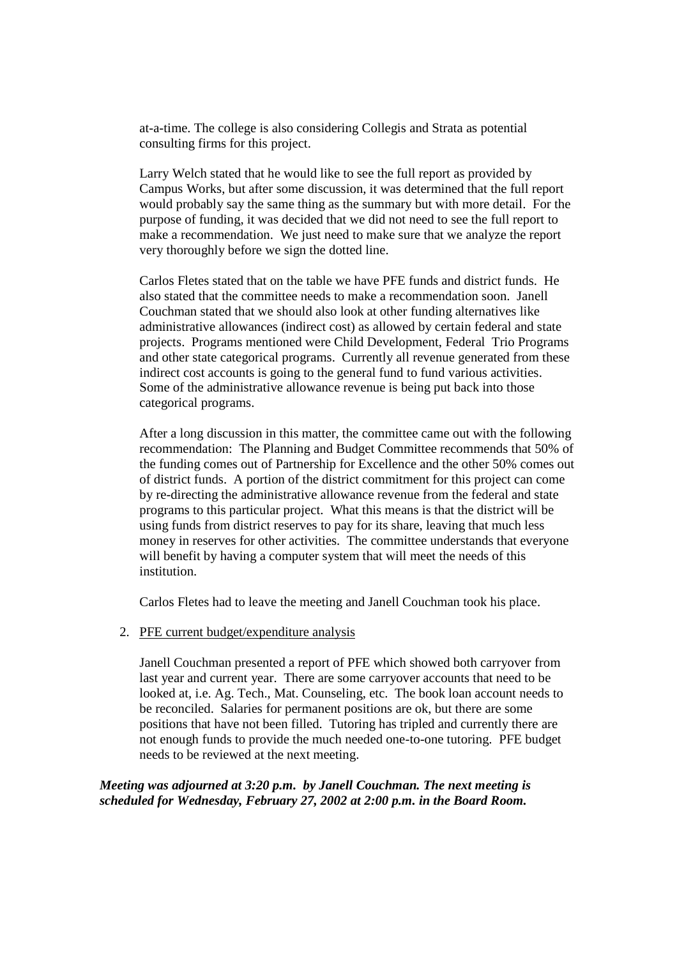at-a-time. The college is also considering Collegis and Strata as potential consulting firms for this project.

Larry Welch stated that he would like to see the full report as provided by Campus Works, but after some discussion, it was determined that the full report would probably say the same thing as the summary but with more detail. For the purpose of funding, it was decided that we did not need to see the full report to make a recommendation. We just need to make sure that we analyze the report very thoroughly before we sign the dotted line.

Carlos Fletes stated that on the table we have PFE funds and district funds. He also stated that the committee needs to make a recommendation soon. Janell Couchman stated that we should also look at other funding alternatives like administrative allowances (indirect cost) as allowed by certain federal and state projects. Programs mentioned were Child Development, Federal Trio Programs and other state categorical programs. Currently all revenue generated from these indirect cost accounts is going to the general fund to fund various activities. Some of the administrative allowance revenue is being put back into those categorical programs.

After a long discussion in this matter, the committee came out with the following recommendation: The Planning and Budget Committee recommends that 50% of the funding comes out of Partnership for Excellence and the other 50% comes out of district funds. A portion of the district commitment for this project can come by re-directing the administrative allowance revenue from the federal and state programs to this particular project. What this means is that the district will be using funds from district reserves to pay for its share, leaving that much less money in reserves for other activities. The committee understands that everyone will benefit by having a computer system that will meet the needs of this institution.

Carlos Fletes had to leave the meeting and Janell Couchman took his place.

2. PFE current budget/expenditure analysis

Janell Couchman presented a report of PFE which showed both carryover from last year and current year. There are some carryover accounts that need to be looked at, i.e. Ag. Tech., Mat. Counseling, etc. The book loan account needs to be reconciled. Salaries for permanent positions are ok, but there are some positions that have not been filled. Tutoring has tripled and currently there are not enough funds to provide the much needed one-to-one tutoring. PFE budget needs to be reviewed at the next meeting.

*Meeting was adjourned at 3:20 p.m. by Janell Couchman. The next meeting is scheduled for Wednesday, February 27, 2002 at 2:00 p.m. in the Board Room.*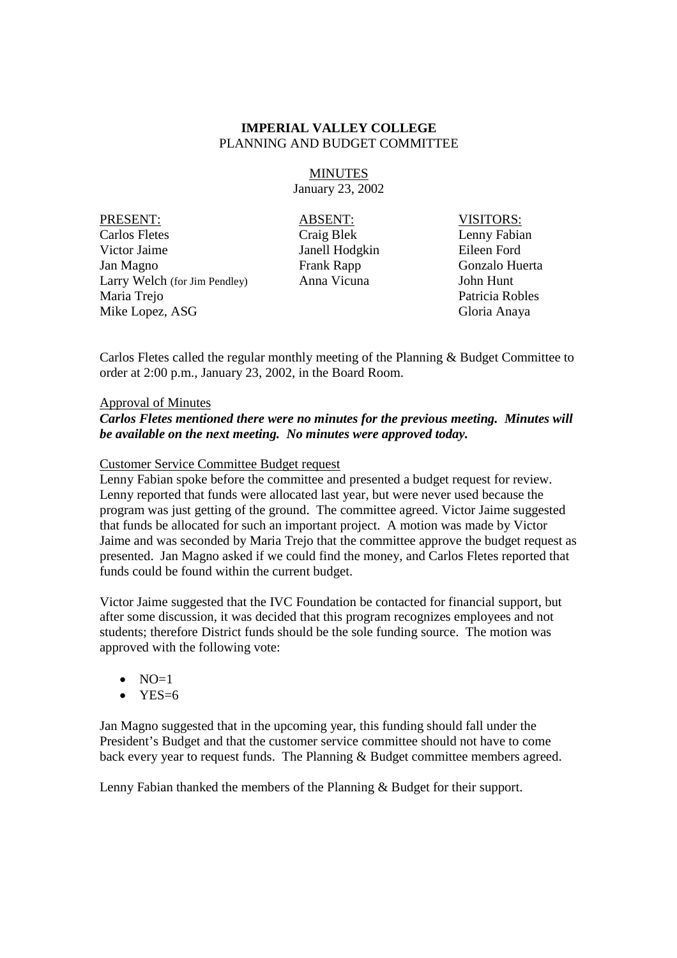MINUTES January 23, 2002

PRESENT: ABSENT: VISITORS: Carlos Fletes Craig Blek Lenny Fabian Victor Jaime Janell Hodgkin Eileen Ford Jan Magno Frank Rapp Gonzalo Huerta Larry Welch (for Jim Pendley) Anna Vicuna John Hunt Maria Trejo Patricia Robles Mike Lopez, ASG Gloria Anaya

Carlos Fletes called the regular monthly meeting of the Planning & Budget Committee to order at 2:00 p.m., January 23, 2002, in the Board Room.

## Approval of Minutes

## *Carlos Fletes mentioned there were no minutes for the previous meeting. Minutes will be available on the next meeting. No minutes were approved today.*

#### Customer Service Committee Budget request

Lenny Fabian spoke before the committee and presented a budget request for review. Lenny reported that funds were allocated last year, but were never used because the program was just getting of the ground. The committee agreed. Victor Jaime suggested that funds be allocated for such an important project. A motion was made by Victor Jaime and was seconded by Maria Trejo that the committee approve the budget request as presented. Jan Magno asked if we could find the money, and Carlos Fletes reported that funds could be found within the current budget.

Victor Jaime suggested that the IVC Foundation be contacted for financial support, but after some discussion, it was decided that this program recognizes employees and not students; therefore District funds should be the sole funding source. The motion was approved with the following vote:

- $\bullet$  NO=1
- $YES=6$

Jan Magno suggested that in the upcoming year, this funding should fall under the President's Budget and that the customer service committee should not have to come back every year to request funds. The Planning & Budget committee members agreed.

Lenny Fabian thanked the members of the Planning & Budget for their support.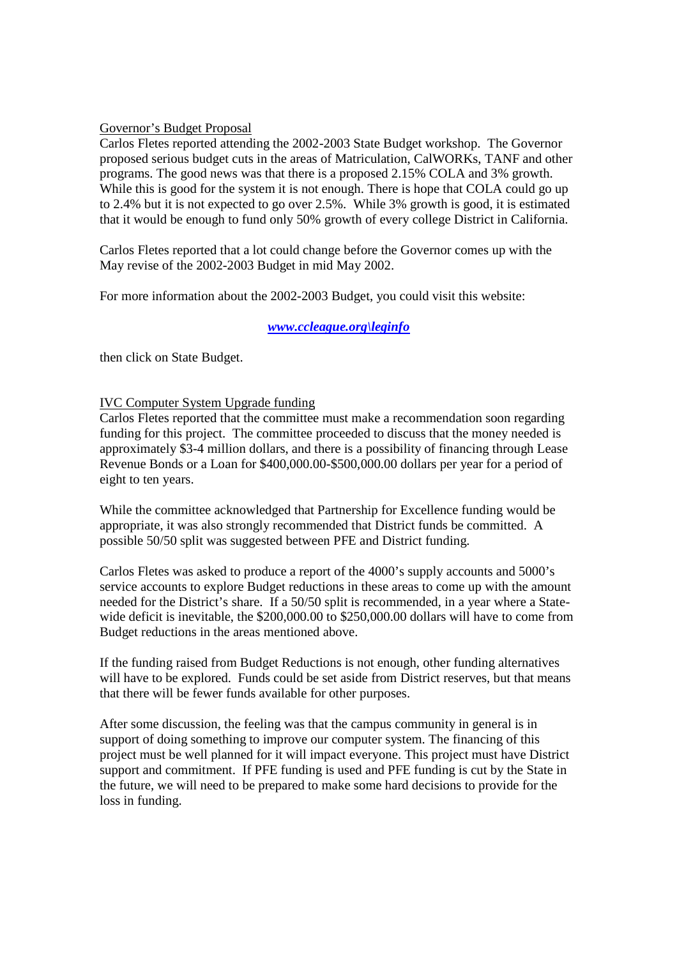## Governor's Budget Proposal

Carlos Fletes reported attending the 2002-2003 State Budget workshop. The Governor proposed serious budget cuts in the areas of Matriculation, CalWORKs, TANF and other programs. The good news was that there is a proposed 2.15% COLA and 3% growth. While this is good for the system it is not enough. There is hope that COLA could go up to 2.4% but it is not expected to go over 2.5%. While 3% growth is good, it is estimated that it would be enough to fund only 50% growth of every college District in California.

Carlos Fletes reported that a lot could change before the Governor comes up with the May revise of the 2002-2003 Budget in mid May 2002.

For more information about the 2002-2003 Budget, you could visit this website:

## *www.ccleague.org\leginfo*

then click on State Budget.

## IVC Computer System Upgrade funding

Carlos Fletes reported that the committee must make a recommendation soon regarding funding for this project. The committee proceeded to discuss that the money needed is approximately \$3-4 million dollars, and there is a possibility of financing through Lease Revenue Bonds or a Loan for \$400,000.00-\$500,000.00 dollars per year for a period of eight to ten years.

While the committee acknowledged that Partnership for Excellence funding would be appropriate, it was also strongly recommended that District funds be committed. A possible 50/50 split was suggested between PFE and District funding.

Carlos Fletes was asked to produce a report of the 4000's supply accounts and 5000's service accounts to explore Budget reductions in these areas to come up with the amount needed for the District's share. If a 50/50 split is recommended, in a year where a Statewide deficit is inevitable, the \$200,000,00 to \$250,000,00 dollars will have to come from Budget reductions in the areas mentioned above.

If the funding raised from Budget Reductions is not enough, other funding alternatives will have to be explored. Funds could be set aside from District reserves, but that means that there will be fewer funds available for other purposes.

After some discussion, the feeling was that the campus community in general is in support of doing something to improve our computer system. The financing of this project must be well planned for it will impact everyone. This project must have District support and commitment. If PFE funding is used and PFE funding is cut by the State in the future, we will need to be prepared to make some hard decisions to provide for the loss in funding.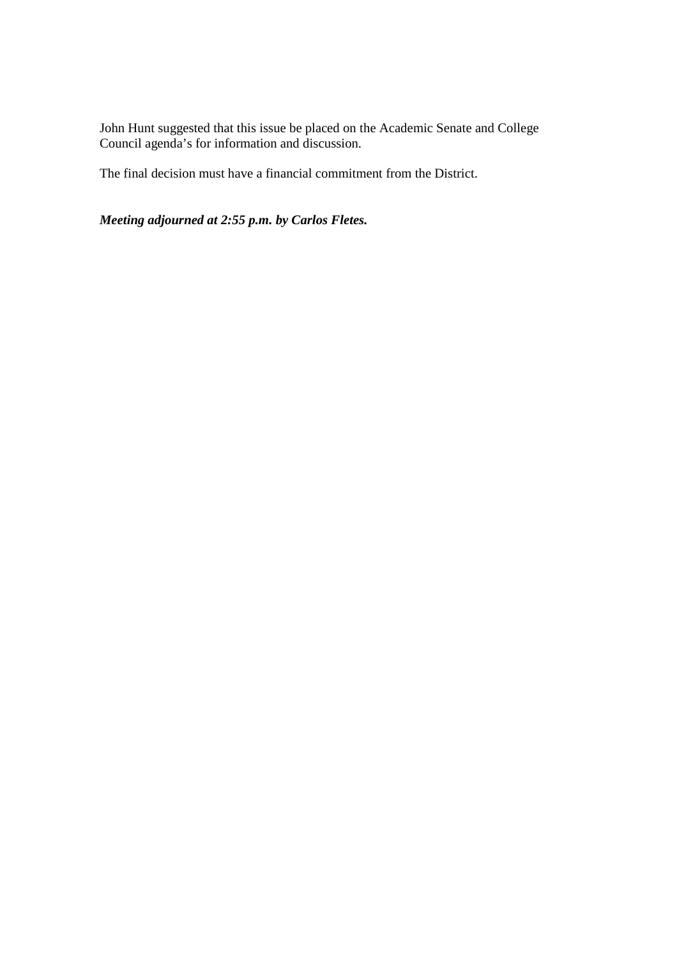John Hunt suggested that this issue be placed on the Academic Senate and College Council agenda's for information and discussion.

The final decision must have a financial commitment from the District.

*Meeting adjourned at 2:55 p.m. by Carlos Fletes.*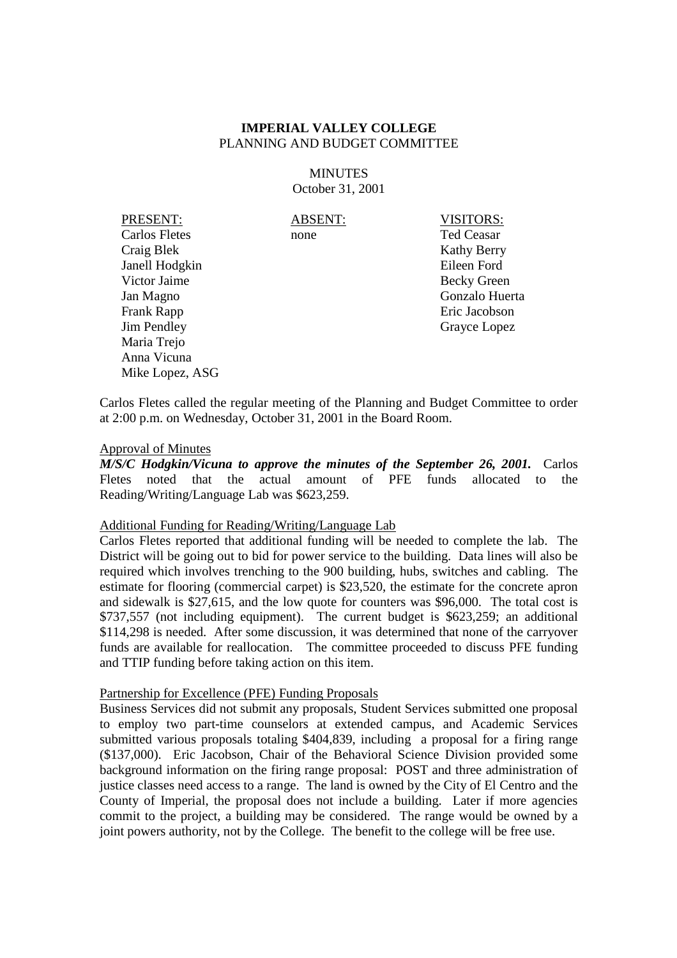**MINUTES** October 31, 2001

PRESENT: ABSENT: VISITORS: Carlos Fletes none Ted Ceasar Craig Blek Kathy Berry Janell Hodgkin Eileen Ford Victor Jaime Becky Green Jan Magno Gonzalo Huerta Frank Rapp **Example 2018** Eric Jacobson Jim Pendley Grayce Lopez Maria Trejo Anna Vicuna Mike Lopez, ASG

Carlos Fletes called the regular meeting of the Planning and Budget Committee to order at 2:00 p.m. on Wednesday, October 31, 2001 in the Board Room.

#### Approval of Minutes

*M/S/C Hodgkin/Vicuna to approve the minutes of the September 26, 2001.* Carlos Fletes noted that the actual amount of PFE funds allocated to the Reading/Writing/Language Lab was \$623,259.

#### Additional Funding for Reading/Writing/Language Lab

Carlos Fletes reported that additional funding will be needed to complete the lab. The District will be going out to bid for power service to the building. Data lines will also be required which involves trenching to the 900 building, hubs, switches and cabling. The estimate for flooring (commercial carpet) is \$23,520, the estimate for the concrete apron and sidewalk is \$27,615, and the low quote for counters was \$96,000. The total cost is \$737,557 (not including equipment). The current budget is \$623,259; an additional \$114,298 is needed. After some discussion, it was determined that none of the carryover funds are available for reallocation. The committee proceeded to discuss PFE funding and TTIP funding before taking action on this item.

#### Partnership for Excellence (PFE) Funding Proposals

Business Services did not submit any proposals, Student Services submitted one proposal to employ two part-time counselors at extended campus, and Academic Services submitted various proposals totaling \$404,839, including a proposal for a firing range (\$137,000). Eric Jacobson, Chair of the Behavioral Science Division provided some background information on the firing range proposal: POST and three administration of justice classes need access to a range. The land is owned by the City of El Centro and the County of Imperial, the proposal does not include a building. Later if more agencies commit to the project, a building may be considered. The range would be owned by a joint powers authority, not by the College. The benefit to the college will be free use.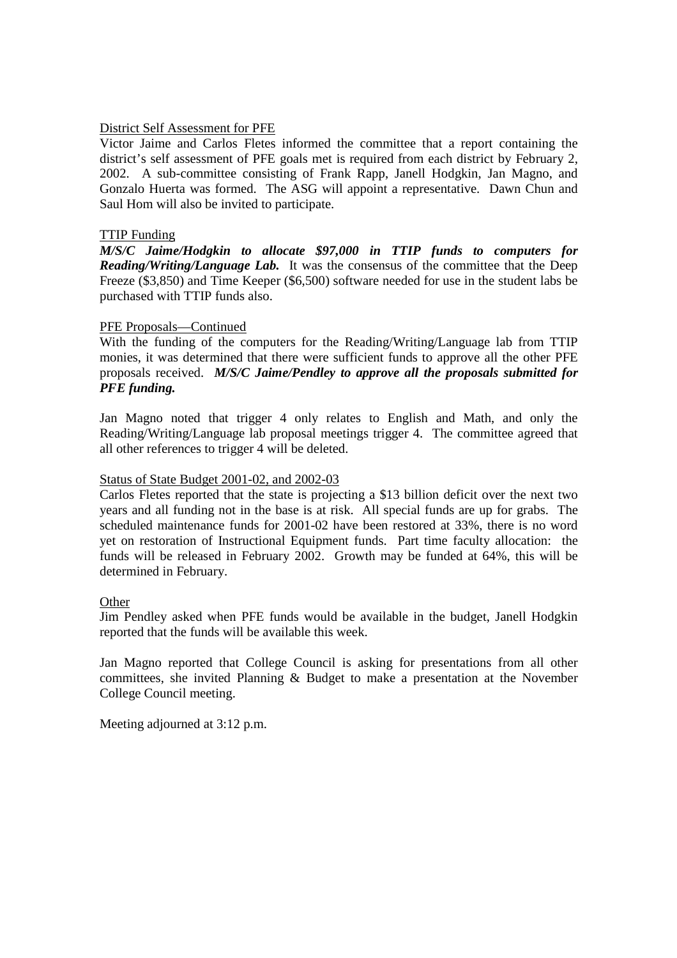## District Self Assessment for PFE

Victor Jaime and Carlos Fletes informed the committee that a report containing the district's self assessment of PFE goals met is required from each district by February 2, 2002. A sub-committee consisting of Frank Rapp, Janell Hodgkin, Jan Magno, and Gonzalo Huerta was formed. The ASG will appoint a representative. Dawn Chun and Saul Hom will also be invited to participate.

#### TTIP Funding

*M/S/C Jaime/Hodgkin to allocate \$97,000 in TTIP funds to computers for Reading/Writing/Language Lab.* It was the consensus of the committee that the Deep Freeze (\$3,850) and Time Keeper (\$6,500) software needed for use in the student labs be purchased with TTIP funds also.

## PFE Proposals—Continued

With the funding of the computers for the Reading/Writing/Language lab from TTIP monies, it was determined that there were sufficient funds to approve all the other PFE proposals received. *M/S/C Jaime/Pendley to approve all the proposals submitted for PFE funding.*

Jan Magno noted that trigger 4 only relates to English and Math, and only the Reading/Writing/Language lab proposal meetings trigger 4. The committee agreed that all other references to trigger 4 will be deleted.

#### Status of State Budget 2001-02, and 2002-03

Carlos Fletes reported that the state is projecting a \$13 billion deficit over the next two years and all funding not in the base is at risk. All special funds are up for grabs. The scheduled maintenance funds for 2001-02 have been restored at 33%, there is no word yet on restoration of Instructional Equipment funds. Part time faculty allocation: the funds will be released in February 2002. Growth may be funded at 64%, this will be determined in February.

#### **Other**

Jim Pendley asked when PFE funds would be available in the budget, Janell Hodgkin reported that the funds will be available this week.

Jan Magno reported that College Council is asking for presentations from all other committees, she invited Planning & Budget to make a presentation at the November College Council meeting.

Meeting adjourned at 3:12 p.m.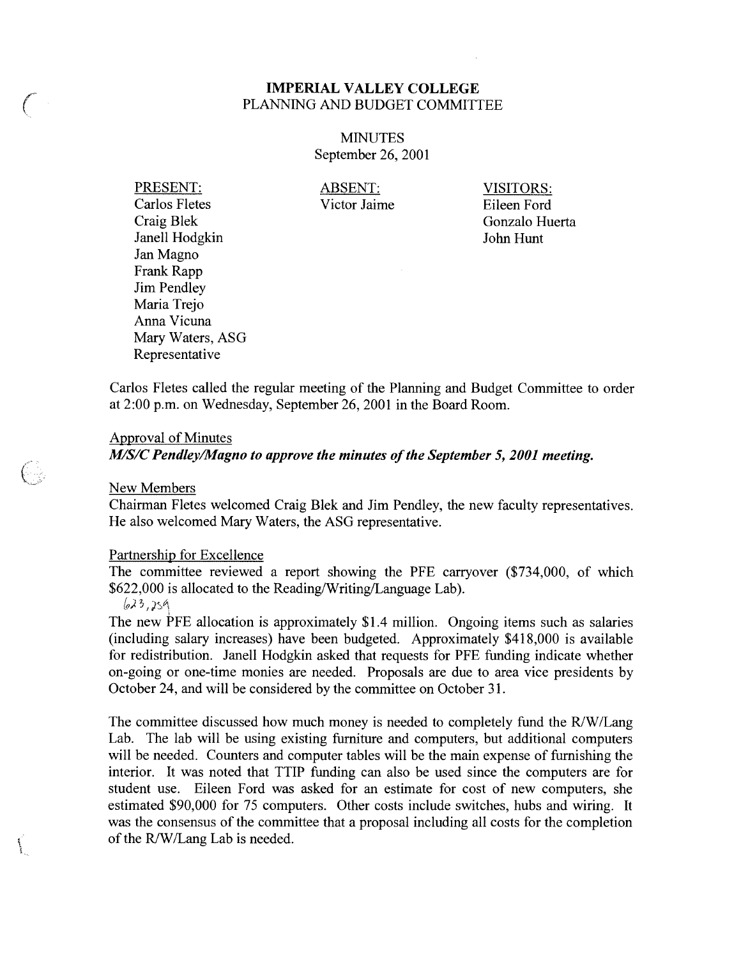## **MINUTES** September 26, 2001

PRESENT: **Carlos Fletes** Craig Blek Janell Hodgkin Jan Magno Frank Rapp **Jim Pendley** Maria Trejo Anna Vicuna Mary Waters, ASG Representative

**ABSENT:** Victor Jaime **VISITORS:** Eileen Ford Gonzalo Huerta John Hunt

Carlos Fletes called the regular meeting of the Planning and Budget Committee to order at 2:00 p.m. on Wednesday, September 26, 2001 in the Board Room.

#### **Approval of Minutes**

M/S/C Pendley/Magno to approve the minutes of the September 5, 2001 meeting.

New Members

- 12

Chairman Fletes welcomed Craig Blek and Jim Pendley, the new faculty representatives. He also welcomed Mary Waters, the ASG representative.

#### Partnership for Excellence

The committee reviewed a report showing the PFE carryover (\$734,000, of which \$622,000 is allocated to the Reading/Writing/Language Lab).

 $623,259$ 

The new PFE allocation is approximately \$1.4 million. Ongoing items such as salaries (including salary increases) have been budgeted. Approximately \$418,000 is available for redistribution. Janell Hodgkin asked that requests for PFE funding indicate whether on-going or one-time monies are needed. Proposals are due to area vice presidents by October 24, and will be considered by the committee on October 31.

The committee discussed how much money is needed to completely fund the R/W/Lang Lab. The lab will be using existing furniture and computers, but additional computers will be needed. Counters and computer tables will be the main expense of furnishing the interior. It was noted that TTIP funding can also be used since the computers are for student use. Eileen Ford was asked for an estimate for cost of new computers, she estimated \$90,000 for 75 computers. Other costs include switches, hubs and wiring. It was the consensus of the committee that a proposal including all costs for the completion of the R/W/Lang Lab is needed.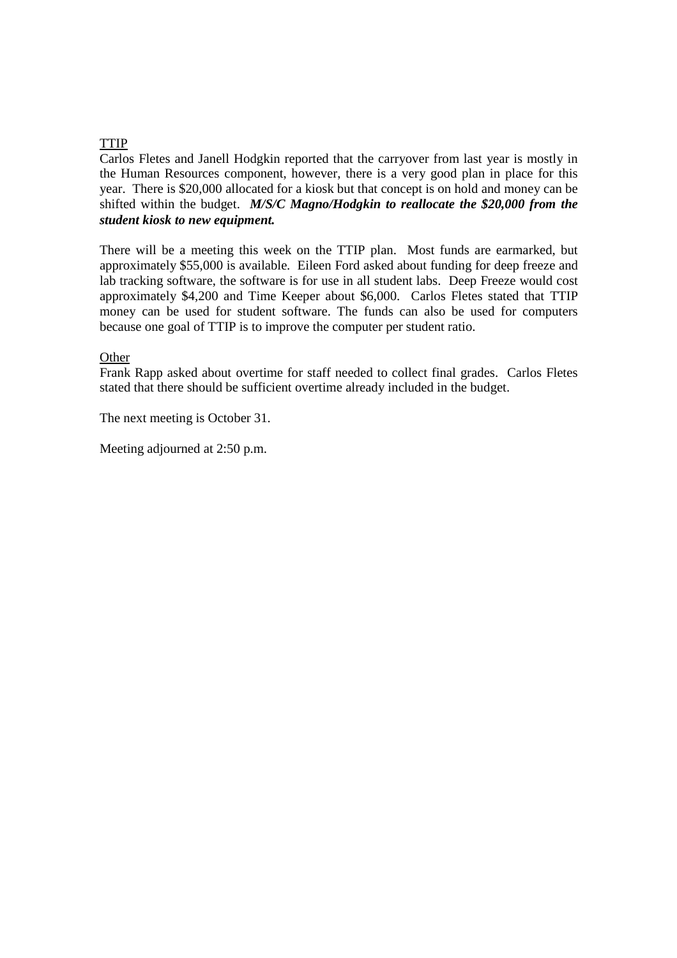## TTIP

Carlos Fletes and Janell Hodgkin reported that the carryover from last year is mostly in the Human Resources component, however, there is a very good plan in place for this year. There is \$20,000 allocated for a kiosk but that concept is on hold and money can be shifted within the budget. *M/S/C Magno/Hodgkin to reallocate the \$20,000 from the student kiosk to new equipment.*

There will be a meeting this week on the TTIP plan. Most funds are earmarked, but approximately \$55,000 is available. Eileen Ford asked about funding for deep freeze and lab tracking software, the software is for use in all student labs. Deep Freeze would cost approximately \$4,200 and Time Keeper about \$6,000. Carlos Fletes stated that TTIP money can be used for student software. The funds can also be used for computers because one goal of TTIP is to improve the computer per student ratio.

**Other** 

Frank Rapp asked about overtime for staff needed to collect final grades. Carlos Fletes stated that there should be sufficient overtime already included in the budget.

The next meeting is October 31.

Meeting adjourned at 2:50 p.m.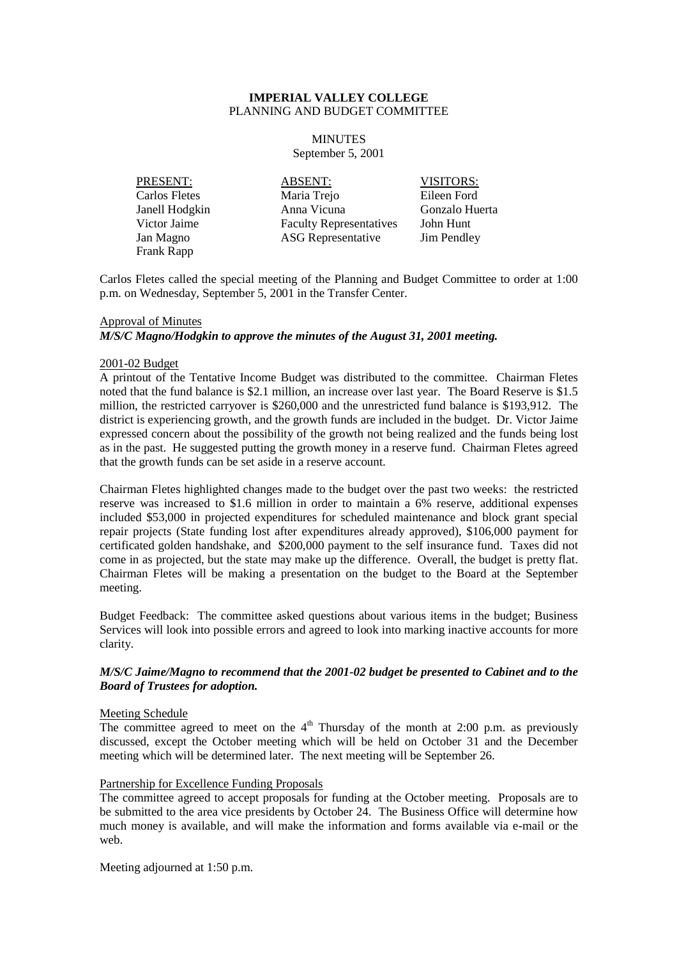#### **MINUTES**

September 5, 2001

PRESENT: ABSENT: VISITORS: Frank Rapp

Carlos Fletes Maria Trejo Eileen Ford Janell Hodgkin Anna Vicuna Gonzalo Huerta Victor Jaime Faculty Representatives John Hunt Jan Magno ASG Representative Jim Pendley

Carlos Fletes called the special meeting of the Planning and Budget Committee to order at 1:00 p.m. on Wednesday, September 5, 2001 in the Transfer Center.

#### Approval of Minutes

*M/S/C Magno/Hodgkin to approve the minutes of the August 31, 2001 meeting.*

#### 2001-02 Budget

A printout of the Tentative Income Budget was distributed to the committee. Chairman Fletes noted that the fund balance is \$2.1 million, an increase over last year. The Board Reserve is \$1.5 million, the restricted carryover is \$260,000 and the unrestricted fund balance is \$193,912. The district is experiencing growth, and the growth funds are included in the budget. Dr. Victor Jaime expressed concern about the possibility of the growth not being realized and the funds being lost as in the past. He suggested putting the growth money in a reserve fund. Chairman Fletes agreed that the growth funds can be set aside in a reserve account.

Chairman Fletes highlighted changes made to the budget over the past two weeks: the restricted reserve was increased to \$1.6 million in order to maintain a 6% reserve, additional expenses included \$53,000 in projected expenditures for scheduled maintenance and block grant special repair projects (State funding lost after expenditures already approved), \$106,000 payment for certificated golden handshake, and \$200,000 payment to the self insurance fund. Taxes did not come in as projected, but the state may make up the difference. Overall, the budget is pretty flat. Chairman Fletes will be making a presentation on the budget to the Board at the September meeting.

Budget Feedback: The committee asked questions about various items in the budget; Business Services will look into possible errors and agreed to look into marking inactive accounts for more clarity.

#### *M/S/C Jaime/Magno to recommend that the 2001-02 budget be presented to Cabinet and to the Board of Trustees for adoption.*

#### Meeting Schedule

The committee agreed to meet on the  $4<sup>th</sup>$  Thursday of the month at 2:00 p.m. as previously discussed, except the October meeting which will be held on October 31 and the December meeting which will be determined later. The next meeting will be September 26.

#### Partnership for Excellence Funding Proposals

The committee agreed to accept proposals for funding at the October meeting. Proposals are to be submitted to the area vice presidents by October 24. The Business Office will determine how much money is available, and will make the information and forms available via e-mail or the web.

Meeting adjourned at 1:50 p.m.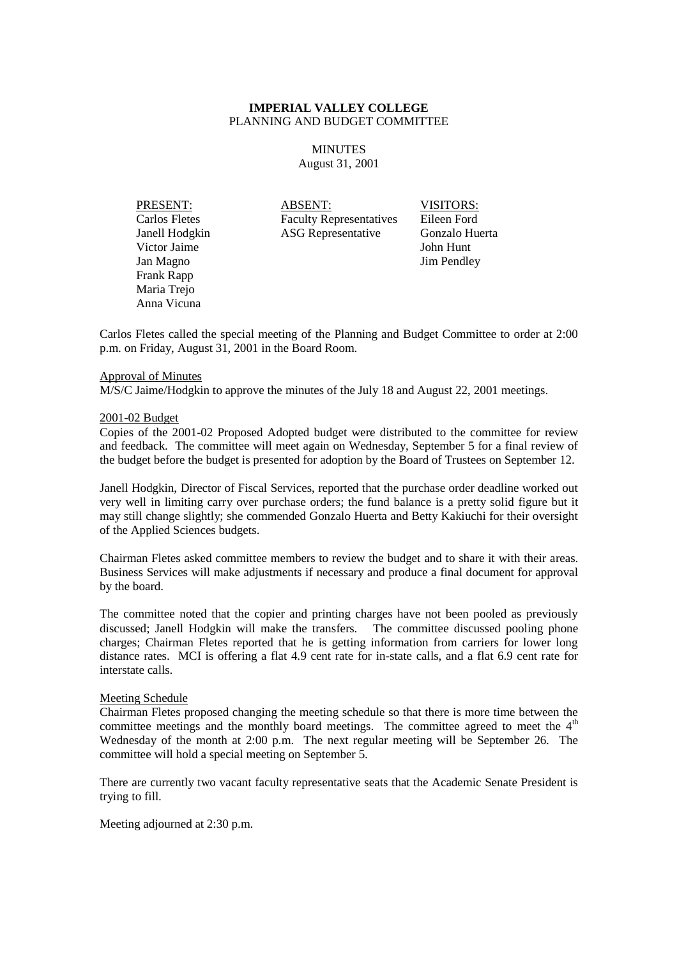#### MINUTES August 31, 2001

Victor Jaime John Hunt Jan Magno Jim Pendley Frank Rapp Maria Trejo Anna Vicuna

PRESENT: ABSENT: VISITORS: Carlos Fletes Faculty Representatives Eileen Ford Janell Hodgkin ASG Representative Gonzalo Huerta

Carlos Fletes called the special meeting of the Planning and Budget Committee to order at 2:00 p.m. on Friday, August 31, 2001 in the Board Room.

#### Approval of Minutes

M/S/C Jaime/Hodgkin to approve the minutes of the July 18 and August 22, 2001 meetings.

#### 2001-02 Budget

Copies of the 2001-02 Proposed Adopted budget were distributed to the committee for review and feedback. The committee will meet again on Wednesday, September 5 for a final review of the budget before the budget is presented for adoption by the Board of Trustees on September 12.

Janell Hodgkin, Director of Fiscal Services, reported that the purchase order deadline worked out very well in limiting carry over purchase orders; the fund balance is a pretty solid figure but it may still change slightly; she commended Gonzalo Huerta and Betty Kakiuchi for their oversight of the Applied Sciences budgets.

Chairman Fletes asked committee members to review the budget and to share it with their areas. Business Services will make adjustments if necessary and produce a final document for approval by the board.

The committee noted that the copier and printing charges have not been pooled as previously discussed; Janell Hodgkin will make the transfers. The committee discussed pooling phone charges; Chairman Fletes reported that he is getting information from carriers for lower long distance rates. MCI is offering a flat 4.9 cent rate for in-state calls, and a flat 6.9 cent rate for interstate calls.

#### Meeting Schedule

Chairman Fletes proposed changing the meeting schedule so that there is more time between the committee meetings and the monthly board meetings. The committee agreed to meet the  $4<sup>th</sup>$ Wednesday of the month at 2:00 p.m. The next regular meeting will be September 26. The committee will hold a special meeting on September 5.

There are currently two vacant faculty representative seats that the Academic Senate President is trying to fill.

Meeting adjourned at 2:30 p.m.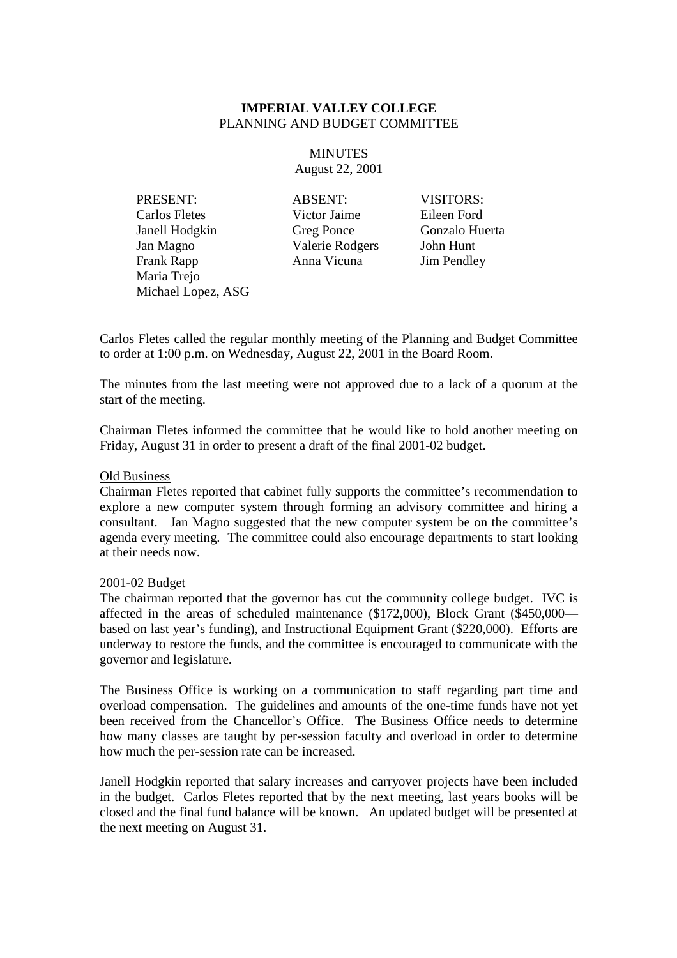**MINUTES** August 22, 2001

PRESENT: ABSENT: VISITORS: Carlos Fletes Victor Jaime Eileen Ford Janell Hodgkin Greg Ponce Gonzalo Huerta Jan Magno Valerie Rodgers John Hunt Frank Rapp **Anna Vicuna** Jim Pendley Maria Trejo Michael Lopez, ASG

Carlos Fletes called the regular monthly meeting of the Planning and Budget Committee to order at 1:00 p.m. on Wednesday, August 22, 2001 in the Board Room.

The minutes from the last meeting were not approved due to a lack of a quorum at the start of the meeting.

Chairman Fletes informed the committee that he would like to hold another meeting on Friday, August 31 in order to present a draft of the final 2001-02 budget.

#### Old Business

Chairman Fletes reported that cabinet fully supports the committee's recommendation to explore a new computer system through forming an advisory committee and hiring a consultant. Jan Magno suggested that the new computer system be on the committee's agenda every meeting. The committee could also encourage departments to start looking at their needs now.

#### 2001-02 Budget

The chairman reported that the governor has cut the community college budget. IVC is affected in the areas of scheduled maintenance (\$172,000), Block Grant (\$450,000 based on last year's funding), and Instructional Equipment Grant (\$220,000). Efforts are underway to restore the funds, and the committee is encouraged to communicate with the governor and legislature.

The Business Office is working on a communication to staff regarding part time and overload compensation. The guidelines and amounts of the one-time funds have not yet been received from the Chancellor's Office. The Business Office needs to determine how many classes are taught by per-session faculty and overload in order to determine how much the per-session rate can be increased.

Janell Hodgkin reported that salary increases and carryover projects have been included in the budget. Carlos Fletes reported that by the next meeting, last years books will be closed and the final fund balance will be known. An updated budget will be presented at the next meeting on August 31.